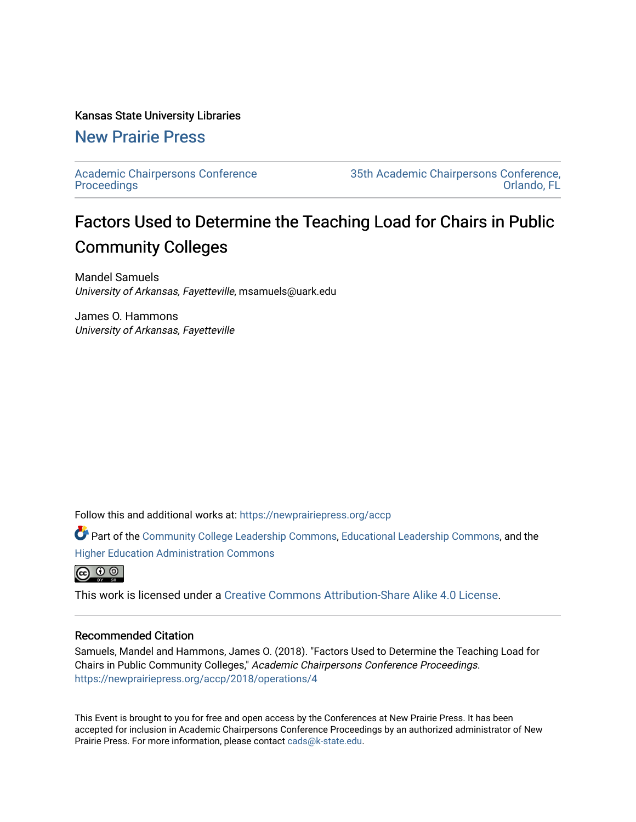#### Kansas State University Libraries

# [New Prairie Press](https://newprairiepress.org/)

[Academic Chairpersons Conference](https://newprairiepress.org/accp)  **Proceedings** 

[35th Academic Chairpersons Conference,](https://newprairiepress.org/accp/2018)  [Orlando, FL](https://newprairiepress.org/accp/2018) 

# Factors Used to Determine the Teaching Load for Chairs in Public Community Colleges

Mandel Samuels University of Arkansas, Fayetteville, msamuels@uark.edu

James O. Hammons University of Arkansas, Fayetteville

Follow this and additional works at: [https://newprairiepress.org/accp](https://newprairiepress.org/accp?utm_source=newprairiepress.org%2Faccp%2F2018%2Foperations%2F4&utm_medium=PDF&utm_campaign=PDFCoverPages) 

Part of the [Community College Leadership Commons](http://network.bepress.com/hgg/discipline/1039?utm_source=newprairiepress.org%2Faccp%2F2018%2Foperations%2F4&utm_medium=PDF&utm_campaign=PDFCoverPages), [Educational Leadership Commons](http://network.bepress.com/hgg/discipline/1230?utm_source=newprairiepress.org%2Faccp%2F2018%2Foperations%2F4&utm_medium=PDF&utm_campaign=PDFCoverPages), and the [Higher Education Administration Commons](http://network.bepress.com/hgg/discipline/791?utm_source=newprairiepress.org%2Faccp%2F2018%2Foperations%2F4&utm_medium=PDF&utm_campaign=PDFCoverPages)



This work is licensed under a [Creative Commons Attribution-Share Alike 4.0 License.](https://creativecommons.org/licenses/by-sa/4.0/)

#### Recommended Citation

Samuels, Mandel and Hammons, James O. (2018). "Factors Used to Determine the Teaching Load for Chairs in Public Community Colleges," Academic Chairpersons Conference Proceedings. <https://newprairiepress.org/accp/2018/operations/4>

This Event is brought to you for free and open access by the Conferences at New Prairie Press. It has been accepted for inclusion in Academic Chairpersons Conference Proceedings by an authorized administrator of New Prairie Press. For more information, please contact [cads@k-state.edu.](mailto:cads@k-state.edu)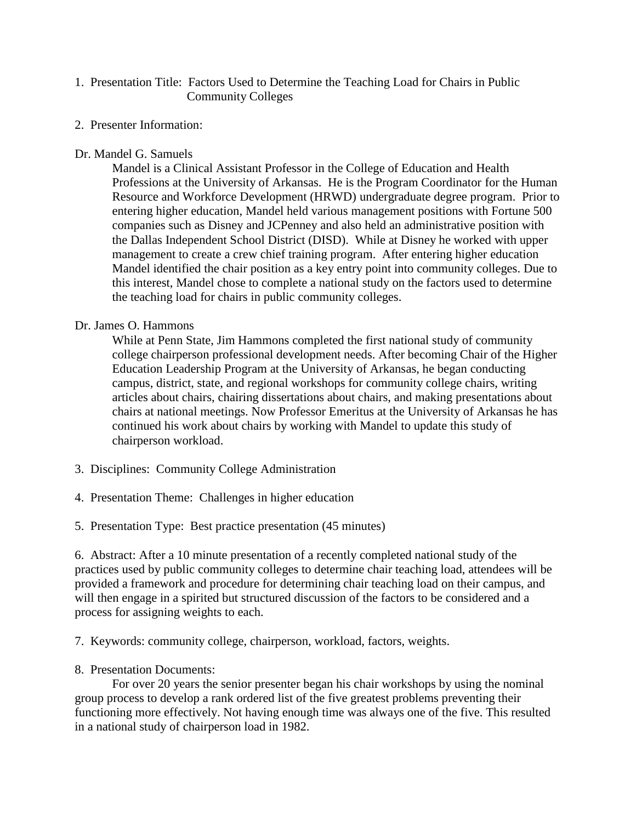### 1. Presentation Title: Factors Used to Determine the Teaching Load for Chairs in Public Community Colleges

2. Presenter Information:

### Dr. Mandel G. Samuels

Mandel is a Clinical Assistant Professor in the College of Education and Health Professions at the University of Arkansas. He is the Program Coordinator for the Human Resource and Workforce Development (HRWD) undergraduate degree program. Prior to entering higher education, Mandel held various management positions with Fortune 500 companies such as Disney and JCPenney and also held an administrative position with the Dallas Independent School District (DISD). While at Disney he worked with upper management to create a crew chief training program. After entering higher education Mandel identified the chair position as a key entry point into community colleges. Due to this interest, Mandel chose to complete a national study on the factors used to determine the teaching load for chairs in public community colleges.

### Dr. James O. Hammons

While at Penn State, Jim Hammons completed the first national study of community college chairperson professional development needs. After becoming Chair of the Higher Education Leadership Program at the University of Arkansas, he began conducting campus, district, state, and regional workshops for community college chairs, writing articles about chairs, chairing dissertations about chairs, and making presentations about chairs at national meetings. Now Professor Emeritus at the University of Arkansas he has continued his work about chairs by working with Mandel to update this study of chairperson workload.

- 3. Disciplines: Community College Administration
- 4. Presentation Theme: Challenges in higher education
- 5. Presentation Type: Best practice presentation (45 minutes)

6. Abstract: After a 10 minute presentation of a recently completed national study of the practices used by public community colleges to determine chair teaching load, attendees will be provided a framework and procedure for determining chair teaching load on their campus, and will then engage in a spirited but structured discussion of the factors to be considered and a process for assigning weights to each.

7. Keywords: community college, chairperson, workload, factors, weights.

## 8. Presentation Documents:

For over 20 years the senior presenter began his chair workshops by using the nominal group process to develop a rank ordered list of the five greatest problems preventing their functioning more effectively. Not having enough time was always one of the five. This resulted in a national study of chairperson load in 1982.